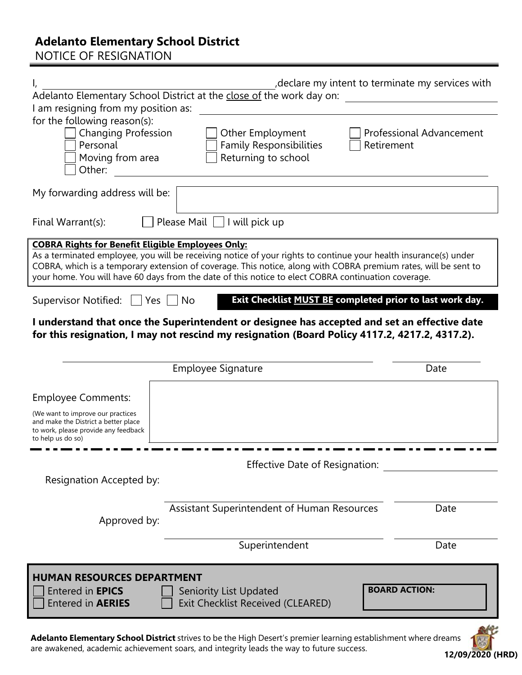## **Adelanto Elementary School District**

NOTICE OF RESIGNATION

| I am resigning from my position as:                                                                                                    | , declare my intent to terminate my services with<br>Adelanto Elementary School District at the close of the work day on:                                                                                                                                                                                                                  |                                 |
|----------------------------------------------------------------------------------------------------------------------------------------|--------------------------------------------------------------------------------------------------------------------------------------------------------------------------------------------------------------------------------------------------------------------------------------------------------------------------------------------|---------------------------------|
| for the following reason(s):<br><b>Changing Profession</b><br>Personal<br>Moving from area<br>Other:                                   | Other Employment<br><b>Family Responsibilities</b><br>Retirement<br>Returning to school                                                                                                                                                                                                                                                    | <b>Professional Advancement</b> |
| My forwarding address will be:                                                                                                         |                                                                                                                                                                                                                                                                                                                                            |                                 |
| Final Warrant(s):                                                                                                                      | Please Mail $\vert \ \vert$ I will pick up                                                                                                                                                                                                                                                                                                 |                                 |
| <b>COBRA Rights for Benefit Eligible Employees Only:</b>                                                                               | As a terminated employee, you will be receiving notice of your rights to continue your health insurance(s) under<br>COBRA, which is a temporary extension of coverage. This notice, along with COBRA premium rates, will be sent to<br>your home. You will have 60 days from the date of this notice to elect COBRA continuation coverage. |                                 |
| Supervisor Notified: $\Box$ Yes $\Box$ No                                                                                              | Exit Checklist MUST BE completed prior to last work day.                                                                                                                                                                                                                                                                                   |                                 |
|                                                                                                                                        | I understand that once the Superintendent or designee has accepted and set an effective date<br>for this resignation, I may not rescind my resignation (Board Policy 4117.2, 4217.2, 4317.2).                                                                                                                                              |                                 |
|                                                                                                                                        | <b>Employee Signature</b>                                                                                                                                                                                                                                                                                                                  | Date                            |
|                                                                                                                                        |                                                                                                                                                                                                                                                                                                                                            |                                 |
| <b>Employee Comments:</b>                                                                                                              |                                                                                                                                                                                                                                                                                                                                            |                                 |
| (We want to improve our practices<br>and make the District a better place<br>to work, please provide any feedback<br>to help us do so) |                                                                                                                                                                                                                                                                                                                                            |                                 |
| Resignation Accepted by:                                                                                                               | Effective Date of Resignation:                                                                                                                                                                                                                                                                                                             |                                 |
| Approved by:                                                                                                                           | Assistant Superintendent of Human Resources                                                                                                                                                                                                                                                                                                | Date                            |
|                                                                                                                                        | Superintendent                                                                                                                                                                                                                                                                                                                             | Date                            |
| <b>HUMAN RESOURCES DEPARTMENT</b><br><b>Entered in EPICS</b><br><b>Entered in AERIES</b>                                               | Seniority List Updated<br>Exit Checklist Received (CLEARED)                                                                                                                                                                                                                                                                                | <b>BOARD ACTION:</b>            |

**Adelanto Elementary School District** strives to be the High Desert's premier learning establishment where dreams are awakened, academic achievement soars, and integrity leads the way to future success. **12/09/2020 (HRD)**